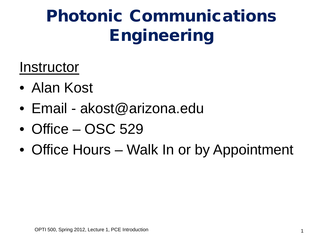### **Instructor**

- Alan Kost
- Email akost@arizona.edu
- Office OSC 529
- Office Hours Walk In or by Appointment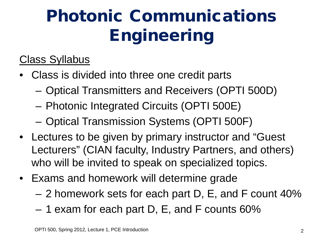### Class Syllabus

- Class is divided into three one credit parts
	- Optical Transmitters and Receivers (OPTI 500D)
	- Photonic Integrated Circuits (OPTI 500E)
	- Optical Transmission Systems (OPTI 500F)
- Lectures to be given by primary instructor and "Guest Lecturers" (CIAN faculty, Industry Partners, and others) who will be invited to speak on specialized topics.
- Exams and homework will determine grade
	- 2 homework sets for each part D, E, and F count 40%
	- 1 exam for each part D, E, and F counts 60%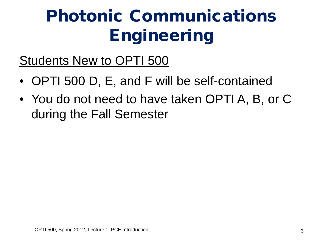Students New to OPTI 500

- OPTI 500 D, E, and F will be self-contained
- You do not need to have taken OPTI A, B, or C during the Fall Semester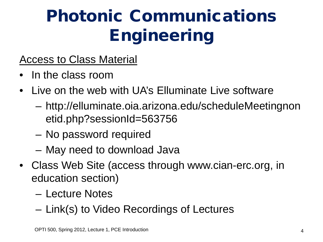### Access to Class Material

- In the class room
- Live on the web with UA's Elluminate Live software
	- http://elluminate.oia.arizona.edu/scheduleMeetingnon etid.php?sessionId=563756
	- No password required
	- May need to download Java
- Class Web Site (access through www.cian-erc.org, in education section)
	- Lecture Notes
	- Link(s) to Video Recordings of Lectures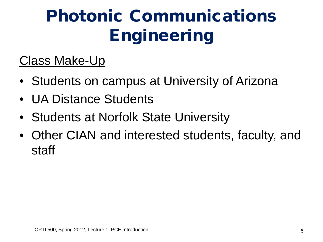### Class Make-Up

- Students on campus at University of Arizona
- UA Distance Students
- Students at Norfolk State University
- Other CIAN and interested students, faculty, and staff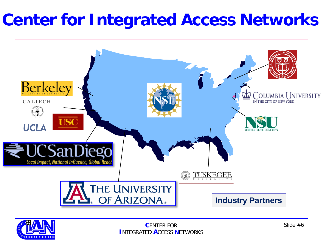### **Center for Integrated Access Networks**



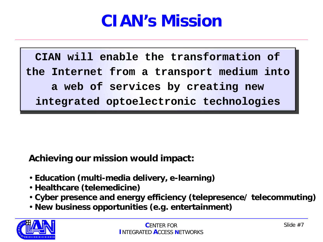### **CIAN's Mission**

**CIAN will enable the transformation of the Internet from a transport medium into a web of services by creating new integrated optoelectronic technologies**

**Achieving our mission would impact:**

- **Education (multi-media delivery, e-learning)**
- **Healthcare (telemedicine)**
- **Cyber presence and energy efficiency (telepresence/ telecommuting)**
- **New business opportunities (e.g. entertainment)**

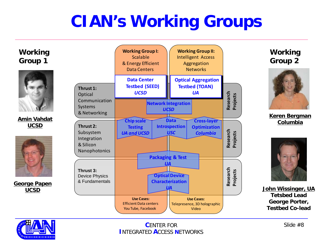### **CIAN's Working Groups**





**Amin Vahdat UCSD**



**George Papen UCSD**



**Working Group 2**



**Keren Bergman Columbia**



**John Wissinger, UA Tetsbed Lead George Porter, Testbed Co-lead**



**C**ENTER FOR **I**NTEGRATED **A**CCESS **N**ETWORKS

Slide #8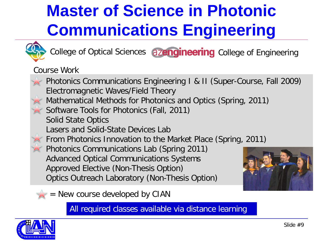# **Master of Science in Photonic Communications Engineering**



College of Optical Sciences azengineering College of Engineering

Course Work



All required classes available via distance learning

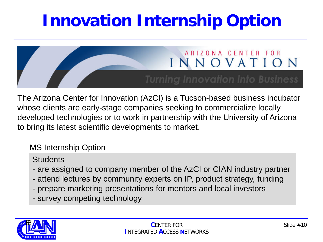### **Innovation Internship Option**



The Arizona Center for Innovation (AzCI) is a Tucson-based business incubator whose clients are early-stage companies seeking to commercialize locally developed technologies or to work in partnership with the University of Arizona to bring its latest scientific developments to market.

### MS Internship Option

**Students** 

- are assigned to company member of the AzCI or CIAN industry partner
- attend lectures by community experts on IP, product strategy, funding
- prepare marketing presentations for mentors and local investors
- survey competing technology

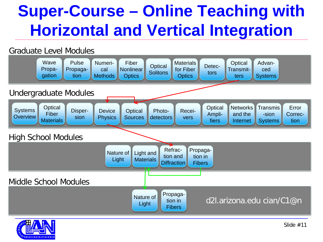### **Super-Course – Online Teaching with Horizontal and Vertical Integration**

#### Graduate Level Modules



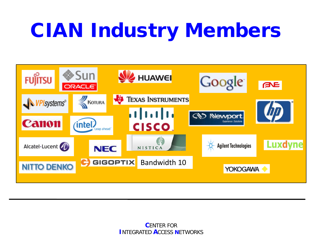# CIAN Industry Members

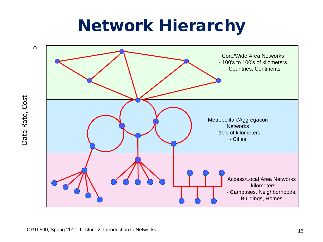### Network Hierarchy

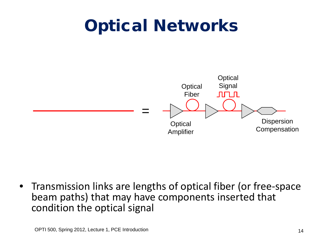### Optical Networks



• Transmission links are lengths of optical fiber (or free-space beam paths) that may have components inserted that condition the optical signal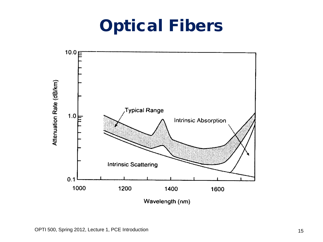### Optical Fibers

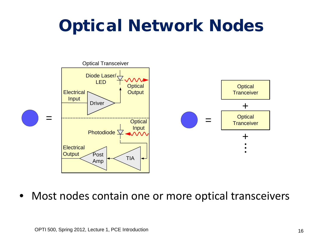### Optical Network Nodes



• Most nodes contain one or more optical transceivers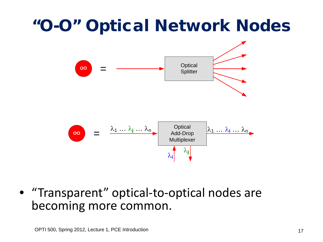### "O-O" Optical Network Nodes



• "Transparent" optical-to-optical nodes are becoming more common.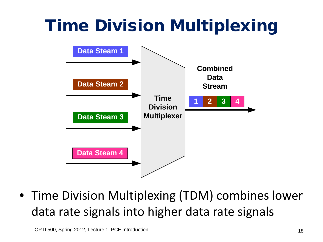# Time Division Multiplexing



• Time Division Multiplexing (TDM) combines lower data rate signals into higher data rate signals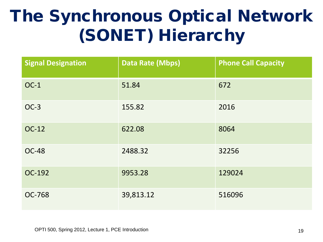### The Synchronous Optical Network (SONET) Hierarchy

| <b>Signal Designation</b> | <b>Data Rate (Mbps)</b> | <b>Phone Call Capacity</b> |
|---------------------------|-------------------------|----------------------------|
| $OC-1$                    | 51.84                   | 672                        |
| $OC-3$                    | 155.82                  | 2016                       |
| OC-12                     | 622.08                  | 8064                       |
| <b>OC-48</b>              | 2488.32                 | 32256                      |
| OC-192                    | 9953.28                 | 129024                     |
| <b>OC-768</b>             | 39,813.12               | 516096                     |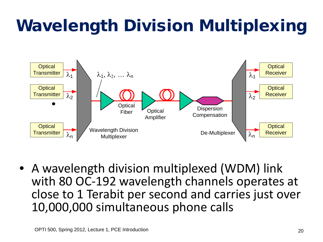# Wavelength Division Multiplexing

![](_page_19_Figure_1.jpeg)

• A wavelength division multiplexed (WDM) link with 80 OC-192 wavelength channels operates at close to 1 Terabit per second and carries just over 10,000,000 simultaneous phone calls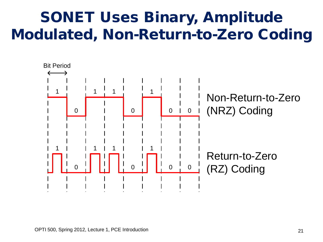### SONET Uses Binary, Amplitude Modulated, Non-Return-to-Zero Coding

![](_page_20_Figure_1.jpeg)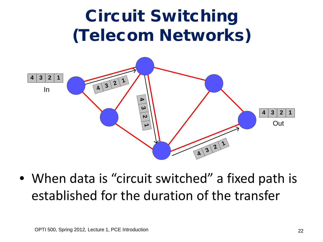![](_page_21_Figure_0.jpeg)

• When data is "circuit switched" a fixed path is established for the duration of the transfer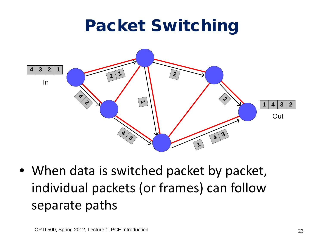### Packet Switching

![](_page_22_Figure_1.jpeg)

• When data is switched packet by packet, individual packets (or frames) can follow separate paths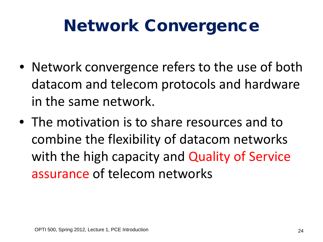### Network Convergence

- Network convergence refers to the use of both datacom and telecom protocols and hardware in the same network.
- The motivation is to share resources and to combine the flexibility of datacom networks with the high capacity and Quality of Service assurance of telecom networks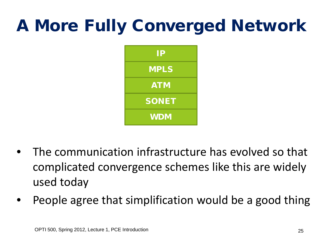### A More Fully Converged Network

![](_page_24_Figure_1.jpeg)

- The communication infrastructure has evolved so that complicated convergence schemes like this are widely used today
- People agree that simplification would be a good thing